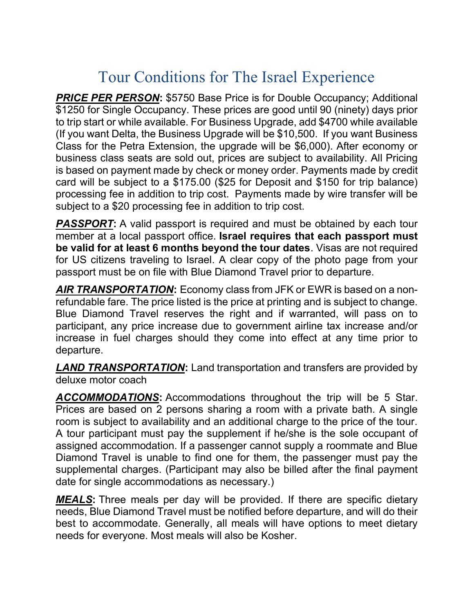## Tour Conditions for The Israel Experience

**PRICE PER PERSON: \$5750 Base Price is for Double Occupancy; Additional** \$1250 for Single Occupancy. These prices are good until 90 (ninety) days prior to trip start or while available. For Business Upgrade, add \$4700 while available (If you want Delta, the Business Upgrade will be \$10,500. If you want Business Class for the Petra Extension, the upgrade will be \$6,000). After economy or business class seats are sold out, prices are subject to availability. All Pricing is based on payment made by check or money order. Payments made by credit card will be subject to a \$175.00 (\$25 for Deposit and \$150 for trip balance) processing fee in addition to trip cost. Payments made by wire transfer will be subject to a \$20 processing fee in addition to trip cost.

**PASSPORT:** A valid passport is required and must be obtained by each tour member at a local passport office. Israel requires that each passport must be valid for at least 6 months beyond the tour dates. Visas are not required for US citizens traveling to Israel. A clear copy of the photo page from your passport must be on file with Blue Diamond Travel prior to departure.

AIR TRANSPORTATION: Economy class from JFK or EWR is based on a nonrefundable fare. The price listed is the price at printing and is subject to change. Blue Diamond Travel reserves the right and if warranted, will pass on to participant, any price increase due to government airline tax increase and/or increase in fuel charges should they come into effect at any time prior to departure.

**LAND TRANSPORTATION:** Land transportation and transfers are provided by deluxe motor coach

ACCOMMODATIONS: Accommodations throughout the trip will be 5 Star. Prices are based on 2 persons sharing a room with a private bath. A single room is subject to availability and an additional charge to the price of the tour. A tour participant must pay the supplement if he/she is the sole occupant of assigned accommodation. If a passenger cannot supply a roommate and Blue Diamond Travel is unable to find one for them, the passenger must pay the supplemental charges. (Participant may also be billed after the final payment date for single accommodations as necessary.)

**MEALS:** Three meals per day will be provided. If there are specific dietary needs, Blue Diamond Travel must be notified before departure, and will do their best to accommodate. Generally, all meals will have options to meet dietary needs for everyone. Most meals will also be Kosher.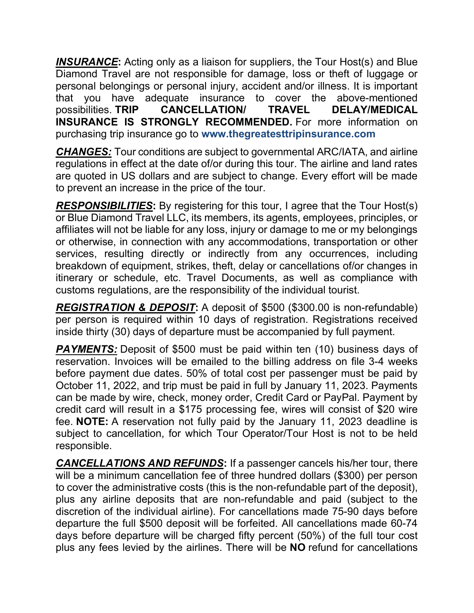**INSURANCE:** Acting only as a liaison for suppliers, the Tour Host(s) and Blue Diamond Travel are not responsible for damage, loss or theft of luggage or personal belongings or personal injury, accident and/or illness. It is important that you have adequate insurance to cover the above-mentioned possibilities. TRIP CANCELLATION/ TRAVEL DELAY/MEDICAL INSURANCE IS STRONGLY RECOMMENDED. For more information on purchasing trip insurance go to www.thegreatesttripinsurance.com

**CHANGES:** Tour conditions are subject to governmental ARC/IATA, and airline regulations in effect at the date of/or during this tour. The airline and land rates are quoted in US dollars and are subject to change. Every effort will be made to prevent an increase in the price of the tour.

**RESPONSIBILITIES:** By registering for this tour, I agree that the Tour Host(s) or Blue Diamond Travel LLC, its members, its agents, employees, principles, or affiliates will not be liable for any loss, injury or damage to me or my belongings or otherwise, in connection with any accommodations, transportation or other services, resulting directly or indirectly from any occurrences, including breakdown of equipment, strikes, theft, delay or cancellations of/or changes in itinerary or schedule, etc. Travel Documents, as well as compliance with customs regulations, are the responsibility of the individual tourist.

REGISTRATION & DEPOSIT: A deposit of \$500 (\$300.00 is non-refundable) per person is required within 10 days of registration. Registrations received inside thirty (30) days of departure must be accompanied by full payment.

**PAYMENTS:** Deposit of \$500 must be paid within ten (10) business days of reservation. Invoices will be emailed to the billing address on file 3-4 weeks before payment due dates. 50% of total cost per passenger must be paid by October 11, 2022, and trip must be paid in full by January 11, 2023. Payments can be made by wire, check, money order, Credit Card or PayPal. Payment by credit card will result in a \$175 processing fee, wires will consist of \$20 wire fee. NOTE: A reservation not fully paid by the January 11, 2023 deadline is subject to cancellation, for which Tour Operator/Tour Host is not to be held responsible.

CANCELLATIONS AND REFUNDS: If a passenger cancels his/her tour, there will be a minimum cancellation fee of three hundred dollars (\$300) per person to cover the administrative costs (this is the non-refundable part of the deposit), plus any airline deposits that are non-refundable and paid (subject to the discretion of the individual airline). For cancellations made 75-90 days before departure the full \$500 deposit will be forfeited. All cancellations made 60-74 days before departure will be charged fifty percent (50%) of the full tour cost plus any fees levied by the airlines. There will be NO refund for cancellations